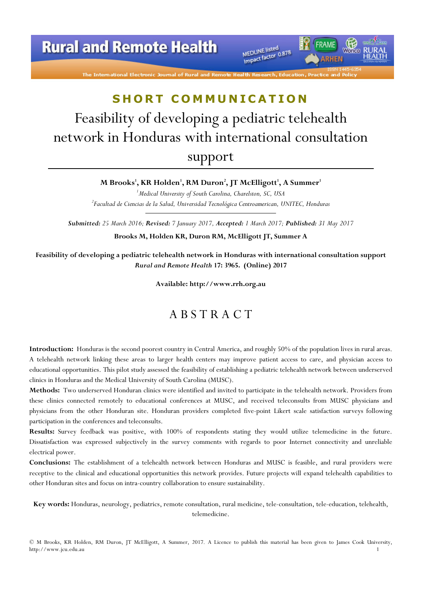# **Rural and Remote Health**

The International Electronic Journal of Rural and

MEDLINE listed MEDLINE listed<br>Impact factor 0.878

# SHORT COMMUNICATION

# Feasibility of developing a pediatric telehealth network in Honduras with international consultation support

M Brooks', KR Holden', RM Duron<sup>2</sup>, JT McElligott<sup>1</sup>, A Summer<sup>1</sup>

<sup>1</sup>Medical University of South Carolina, Charelston, SC, USA  $^{2}$ Facultad de Ciencias de la Salud, Universidad Tecnológica Centroamerican, UNITEC, Honduras

Submitted: 25 March 2016; Revised: 7 January 2017, Accepted: 1 March 2017; Published: 31 May 2017 Brooks M, Holden KR, Duron RM, McElligott JT, Summer A

Feasibility of developing a pediatric telehealth network in Honduras with international consultation support Rural and Remote Health 17: 3965. (Online) 2017

Available: http://www.rrh.org.au

### A B S T R A C T

Introduction: Honduras is the second poorest country in Central America, and roughly 50% of the population lives in rural areas. A telehealth network linking these areas to larger health centers may improve patient access to care, and physician access to educational opportunities. This pilot study assessed the feasibility of establishing a pediatric telehealth network between underserved clinics in Honduras and the Medical University of South Carolina (MUSC).

Methods: Two underserved Honduran clinics were identified and invited to participate in the telehealth network. Providers from these clinics connected remotely to educational conferences at MUSC, and received teleconsults from MUSC physicians and physicians from the other Honduran site. Honduran providers completed five-point Likert scale satisfaction surveys following participation in the conferences and teleconsults.

Results: Survey feedback was positive, with 100% of respondents stating they would utilize telemedicine in the future. Dissatisfaction was expressed subjectively in the survey comments with regards to poor Internet connectivity and unreliable electrical power.

Conclusions: The establishment of a telehealth network between Honduras and MUSC is feasible, and rural providers were receptive to the clinical and educational opportunities this network provides. Future projects will expand telehealth capabilities to other Honduran sites and focus on intra-country collaboration to ensure sustainability.

Key words: Honduras, neurology, pediatrics, remote consultation, rural medicine, tele-consultation, tele-education, telehealth, telemedicine.

© M Brooks, KR Holden, RM Duron, JT McElligott, A Summer, 2017. A Licence to publish this material has been given to James Cook University, http://www.jcu.edu.au 1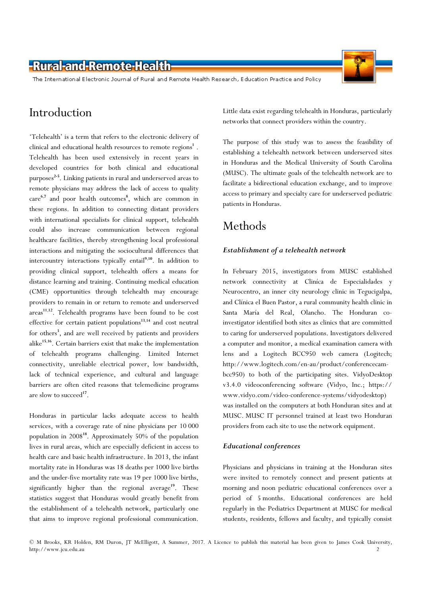### -Rural-and-Remote-Health

The International Electronic Journal of Rural and Remote Health Research, Education Practice and Policy

### Introduction

'Telehealth' is a term that refers to the electronic delivery of clinical and educational health resources to remote  $\mathrm{regions}^1$  . Telehealth has been used extensively in recent years in developed countries for both clinical and educational purposes 2-5. Linking patients in rural and underserved areas to remote physicians may address the lack of access to quality care<sup>6,7</sup> and poor health outcomes<sup>8</sup>, which are common in these regions. In addition to connecting distant providers with international specialists for clinical support, telehealth could also increase communication between regional healthcare facilities, thereby strengthening local professional interactions and mitigating the sociocultural differences that intercountry interactions typically entail<sup>9,10</sup>. In addition to providing clinical support, telehealth offers a means for distance learning and training. Continuing medical education (CME) opportunities through telehealth may encourage providers to remain in or return to remote and underserved areas<sup>11,12</sup>. Telehealth programs have been found to be cost effective for certain patient populations $13,14$  and cost neutral for others<sup>3</sup>, and are well received by patients and providers alike<sup>15,16</sup>. Certain barriers exist that make the implementation of telehealth programs challenging. Limited Internet connectivity, unreliable electrical power, low bandwidth, lack of technical experience, and cultural and language barriers are often cited reasons that telemedicine programs are slow to succeed<sup>17</sup>.

Honduras in particular lacks adequate access to health services, with a coverage rate of nine physicians per 10 000 population in 2008<sup>18</sup>. Approximately 50% of the population lives in rural areas, which are especially deficient in access to health care and basic health infrastructure. In 2013, the infant mortality rate in Honduras was 18 deaths per 1000 live births and the under-five mortality rate was 19 per 1000 live births, significantly higher than the regional average<sup>19</sup>. These statistics suggest that Honduras would greatly benefit from the establishment of a telehealth network, particularly one that aims to improve regional professional communication.

Little data exist regarding telehealth in Honduras, particularly networks that connect providers within the country.

The purpose of this study was to assess the feasibility of establishing a telehealth network between underserved sites in Honduras and the Medical University of South Carolina (MUSC). The ultimate goals of the telehealth network are to facilitate a bidirectional education exchange, and to improve access to primary and specialty care for underserved pediatric patients in Honduras.

# Methods

#### Establishment of a telehealth network

In February 2015, investigators from MUSC established network connectivity at Cliníca de Especialidades y Neurocentro, an inner city neurology clinic in Tegucigalpa, and Clínica el Buen Pastor, a rural community health clinic in Santa María del Real, Olancho. The Honduran coinvestigator identified both sites as clinics that are committed to caring for underserved populations. Investigators delivered a computer and monitor, a medical examination camera with lens and a Logitech BCC950 web camera (Logitech; http://www.logitech.com/en-au/product/conferencecambcc950) to both of the participating sites. VidyoDesktop v3.4.0 videoconferencing software (Vidyo, Inc.; https:// www.vidyo.com/video-conference-systems/vidyodesktop) was installed on the computers at both Honduran sites and at MUSC. MUSC IT personnel trained at least two Honduran providers from each site to use the network equipment.

#### Educational conferences

Physicians and physicians in training at the Honduran sites were invited to remotely connect and present patients at morning and noon pediatric educational conferences over a period of 5 months. Educational conferences are held regularly in the Pediatrics Department at MUSC for medical students, residents, fellows and faculty, and typically consist

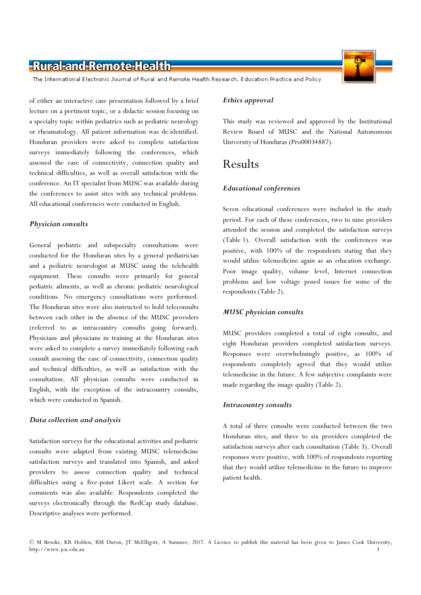### -Rural-and-Remote-Health

The International Electronic Journal of Rural and Remote Health Research, Education Practice and Policy

of either an interactive case presentation followed by a brief lecture on a pertinent topic, or a didactic session focusing on a specialty topic within pediatrics such as pediatric neurology or rheumatology. All patient information was de-identified. Honduran providers were asked to complete satisfaction surveys immediately following the conferences, which assessed the ease of connectivity, connection quality and technical difficulties, as well as overall satisfaction with the conference. An IT specialist from MUSC was available during the conferences to assist sites with any technical problems. All educational conferences were conducted in English.

#### Physician consults

General pediatric and subspecialty consultations were conducted for the Honduran sites by a general pediatrician and a pediatric neurologist at MUSC using the telehealth equipment. These consults were primarily for general pediatric ailments, as well as chronic pediatric neurological conditions. No emergency consultations were performed. The Honduran sites were also instructed to hold teleconsults between each other in the absence of the MUSC providers (referred to as intracountry consults going forward). Physicians and physicians in training at the Honduran sites were asked to complete a survey immediately following each consult assessing the ease of connectivity, connection quality and technical difficulties, as well as satisfaction with the consultation. All physician consults were conducted in English, with the exception of the intracountry consults, which were conducted in Spanish.

#### Data collection and analysis

Satisfaction surveys for the educational activities and pediatric consults were adapted from existing MUSC telemedicine satisfaction surveys and translated into Spanish, and asked providers to assess connection quality and technical difficulties using a five-point Likert scale. A section for comments was also available. Respondents completed the surveys electronically through the RedCap study database. Descriptive analyses were performed.

#### Ethics approval

This study was reviewed and approved by the Institutional Review Board of MUSC and the National Autonomous University of Honduras (Pro00034887).

### Results

#### Educational conferences

Seven educational conferences were included in the study period. For each of these conferences, two to nine providers attended the session and completed the satisfaction surveys (Table 1). Overall satisfaction with the conferences was positive, with 100% of the respondents stating that they would utilize telemedicine again as an education exchange. Poor image quality, volume level, Internet connection problems and low voltage posed issues for some of the respondents (Table 2).

#### MUSC physician consults

MUSC providers completed a total of eight consults, and eight Honduran providers completed satisfaction surveys. Responses were overwhelmingly positive, as 100% of respondents completely agreed that they would utilize telemedicine in the future. A few subjective complaints were made regarding the image quality (Table 2).

#### Intracountry consults

A total of three consults were conducted between the two Honduran sites, and three to six providers completed the satisfaction surveys after each consultation (Table 3). Overall responses were positive, with 100% of respondents reporting that they would utilize telemedicine in the future to improve patient health.

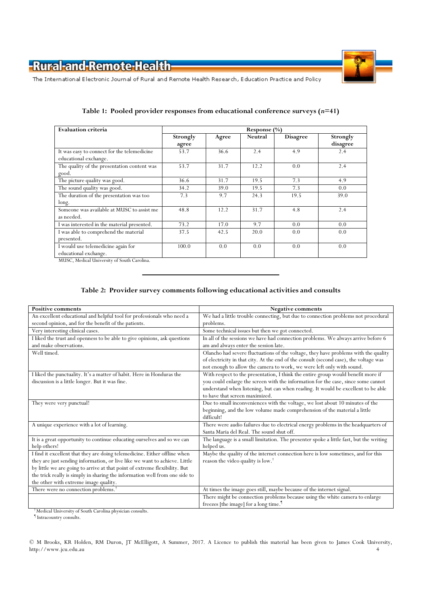

The International Electronic Journal of Rural and Remote Health Research, Education Practice and Policy

| <b>Evaluation criteria</b>                                           | Response $(\%)$   |       |         |                 |                      |  |  |
|----------------------------------------------------------------------|-------------------|-------|---------|-----------------|----------------------|--|--|
|                                                                      | Strongly<br>agree | Agree | Neutral | <b>Disagree</b> | Strongly<br>disagree |  |  |
| It was easy to connect for the telemedicine<br>educational exchange. | 53.7              | 36.6  | 2.4     | 4.9             | 2.4                  |  |  |
| The quality of the presentation content was<br>good.                 | 53.7              | 31.7  | 12.2    | 0.0             | 2.4                  |  |  |
| The picture quality was good.                                        | 36.6              | 31.7  | 19.5    | 7.3             | 4.9                  |  |  |
| The sound quality was good.                                          | 34.2              | 39.0  | 19.5    | 7.3             | 0.0                  |  |  |
| The duration of the presentation was too<br>long.                    | 7.3               | 9.7   | 24.3    | 19.5            | 39.0                 |  |  |
| Someone was available at MUSC to assist me<br>as needed.             | 48.8              | 12.2  | 31.7    | 4.8             | 2.4                  |  |  |
| I was interested in the material presented.                          | 73.2              | 17.0  | 9.7     | 0.0             | 0.0                  |  |  |
| I was able to comprehend the material<br>presented.                  | 37.5              | 42.5  | 20.0    | 0.0             | 0.0                  |  |  |
| I would use telemedicine again for<br>educational exchange.          | 100.0             | 0.0   | 0.0     | 0.0             | 0.0                  |  |  |

### Table 1: Pooled provider responses from educational conference surveys  $(n=41)$

MUSC, Medical University of South Carolina.

### Table 2: Provider survey comments following educational activities and consults

| <b>Positive comments</b>                                                                                                                                                                                                                                                                                                                                      | <b>Negative comments</b>                                                                                                                                                                                                                                                                     |  |  |  |  |
|---------------------------------------------------------------------------------------------------------------------------------------------------------------------------------------------------------------------------------------------------------------------------------------------------------------------------------------------------------------|----------------------------------------------------------------------------------------------------------------------------------------------------------------------------------------------------------------------------------------------------------------------------------------------|--|--|--|--|
| An excellent educational and helpful tool for professionals who need a<br>second opinion, and for the benefit of the patients.                                                                                                                                                                                                                                | We had a little trouble connecting, but due to connection problems not procedural<br>problems.                                                                                                                                                                                               |  |  |  |  |
| Very interesting clinical cases.                                                                                                                                                                                                                                                                                                                              | Some technical issues but then we got connected.                                                                                                                                                                                                                                             |  |  |  |  |
| I liked the trust and openness to be able to give opinions, ask questions<br>and make observations.                                                                                                                                                                                                                                                           | In all of the sessions we have had connection problems. We always arrive before 6<br>am and always enter the session late.                                                                                                                                                                   |  |  |  |  |
| Well timed.                                                                                                                                                                                                                                                                                                                                                   | Olancho had severe fluctuations of the voltage, they have problems with the quality<br>of electricity in that city. At the end of the consult (second case), the voltage was<br>not enough to allow the camera to work, we were left only with sound.                                        |  |  |  |  |
| I liked the punctuality. It's a matter of habit. Here in Honduras the<br>discussion is a little longer. But it was fine.                                                                                                                                                                                                                                      | With respect to the presentation, I think the entire group would benefit more if<br>you could enlarge the screen with the information for the case, since some cannot<br>understand when listening, but can when reading. It would be excellent to be able<br>to have that screen maximized. |  |  |  |  |
| They were very punctual!                                                                                                                                                                                                                                                                                                                                      | Due to small inconveniences with the voltage, we lost about 10 minutes of the<br>beginning, and the low volume made comprehension of the material a little<br>difficult!                                                                                                                     |  |  |  |  |
| A unique experience with a lot of learning.                                                                                                                                                                                                                                                                                                                   | There were audio failures due to electrical energy problems in the headquarters of<br>Santa Maria del Real. The sound shut off.                                                                                                                                                              |  |  |  |  |
| It is a great opportunity to continue educating ourselves and so we can<br>help others!                                                                                                                                                                                                                                                                       | The language is a small limitation. The presenter spoke a little fast, but the writing<br>helped us.                                                                                                                                                                                         |  |  |  |  |
| I find it excellent that they are doing telemedicine. Either offline when<br>they are just sending information, or live like we want to achieve. Little<br>by little we are going to arrive at that point of extreme flexibility. But<br>the trick really is simply in sharing the information well from one side to<br>the other with extreme image quality. | Maybe the quality of the internet connection here is low sometimes, and for this<br>reason the video quality is low. <sup>†</sup>                                                                                                                                                            |  |  |  |  |
| There were no connection problems. <sup>†</sup>                                                                                                                                                                                                                                                                                                               | At times the image goes still, maybe because of the internet signal.                                                                                                                                                                                                                         |  |  |  |  |
|                                                                                                                                                                                                                                                                                                                                                               | There might be connection problems because using the white camera to enlarge<br>freezes [the image] for a long time. <sup>1</sup>                                                                                                                                                            |  |  |  |  |

† Medical University of South Carolina physician consults.

¶ Intracountry consults.

© M Brooks, KR Holden, RM Duron, JT McElligott, A Summer, 2017. A Licence to publish this material has been given to James Cook University, http://www.jcu.edu.au 4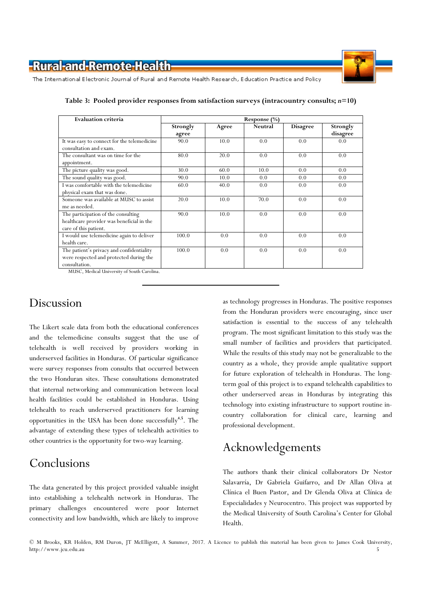

The International Electronic Journal of Rural and Remote Health Research, Education Practice and Policy

| <b>Evaluation criteria</b>                                                                                                                                                                                                                                                                                                                                                                             | Response $(\%)$   |       |         |                 |                      |  |
|--------------------------------------------------------------------------------------------------------------------------------------------------------------------------------------------------------------------------------------------------------------------------------------------------------------------------------------------------------------------------------------------------------|-------------------|-------|---------|-----------------|----------------------|--|
|                                                                                                                                                                                                                                                                                                                                                                                                        | Strongly<br>agree | Agree | Neutral | <b>Disagree</b> | Strongly<br>disagree |  |
| It was easy to connect for the telemedicine<br>consultation and exam.                                                                                                                                                                                                                                                                                                                                  | 90.0              | 10.0  | 0.0     | 0.0             | 0.0                  |  |
| The consultant was on time for the<br>appointment.                                                                                                                                                                                                                                                                                                                                                     | 80.0              | 20.0  | 0.0     | 0.0             | 0.0                  |  |
| The picture quality was good.                                                                                                                                                                                                                                                                                                                                                                          | 30.0              | 60.0  | 10.0    | 0.0             | 0.0                  |  |
| The sound quality was good.                                                                                                                                                                                                                                                                                                                                                                            | 90.0              | 10.0  | 0.0     | 0.0             | 0.0                  |  |
| I was comfortable with the telemedicine<br>physical exam that was done.                                                                                                                                                                                                                                                                                                                                | 60.0              | 40.0  | 0.0     | 0.0             | 0.0                  |  |
| Someone was available at MUSC to assist<br>me as needed.                                                                                                                                                                                                                                                                                                                                               | 20.0              | 10.0  | 70.0    | 0.0             | 0.0                  |  |
| The participation of the consulting<br>healthcare provider was beneficial in the<br>care of this patient.                                                                                                                                                                                                                                                                                              | 90.0              | 10.0  | 0.0     | 0.0             | 0.0                  |  |
| I would use telemedicine again to deliver<br>health care.                                                                                                                                                                                                                                                                                                                                              | 100.0             | 0.0   | 0.0     | 0.0             | 0.0                  |  |
| The patient's privacy and confidentiality<br>were respected and protected during the<br>consultation.<br>$\frac{1}{2}$ and $\frac{1}{2}$ and $\frac{1}{2}$ and $\frac{1}{2}$ and $\frac{1}{2}$ and $\frac{1}{2}$ and $\frac{1}{2}$ and $\frac{1}{2}$ and $\frac{1}{2}$ and $\frac{1}{2}$ and $\frac{1}{2}$ and $\frac{1}{2}$ and $\frac{1}{2}$ and $\frac{1}{2}$ and $\frac{1}{2}$ and $\frac{1}{2}$ a | 100.0             | 0.0   | 0.0     | 0.0             | 0.0                  |  |

Table 3: Pooled provider responses from satisfaction surveys (intracountry consults; n=10)

MUSC, Medical University of South Carolina.

### Discussion

The Likert scale data from both the educational conferences and the telemedicine consults suggest that the use of telehealth is well received by providers working in underserved facilities in Honduras. Of particular significance were survey responses from consults that occurred between the two Honduran sites. These consultations demonstrated that internal networking and communication between local health facilities could be established in Honduras. Using telehealth to reach underserved practitioners for learning opportunities in the USA has been done successfully<sup>4,5</sup>. The advantage of extending these types of telehealth activities to other countries is the opportunity for two-way learning.

## Conclusions

The data generated by this project provided valuable insight into establishing a telehealth network in Honduras. The primary challenges encountered were poor Internet connectivity and low bandwidth, which are likely to improve as technology progresses in Honduras. The positive responses from the Honduran providers were encouraging, since user satisfaction is essential to the success of any telehealth program. The most significant limitation to this study was the small number of facilities and providers that participated. While the results of this study may not be generalizable to the country as a whole, they provide ample qualitative support for future exploration of telehealth in Honduras. The longterm goal of this project is to expand telehealth capabilities to other underserved areas in Honduras by integrating this technology into existing infrastructure to support routine incountry collaboration for clinical care, learning and professional development.

# Acknowledgements

The authors thank their clinical collaborators Dr Nestor Salavarría, Dr Gabriela Guifarro, and Dr Allan Oliva at Clínica el Buen Pastor, and Dr Glenda Oliva at Clínica de Especialidades y Neurocentro. This project was supported by the Medical University of South Carolina's Center for Global Health.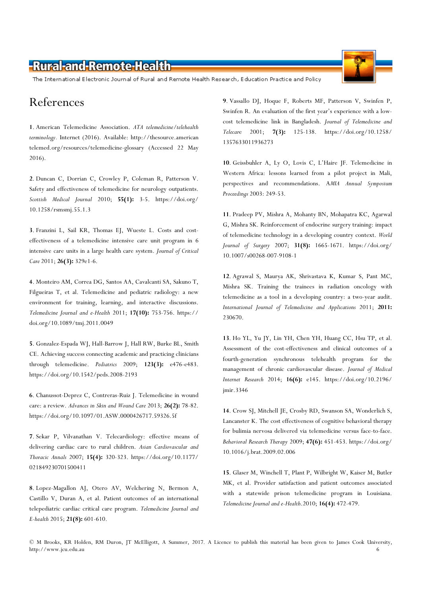## -Rural-and-Remote-Health-

The International Electronic Journal of Rural and Remote Health Research, Education Practice and Policy

### References

1. American Telemedicine Association. ATA telemedicine/telehealth terminology. Internet (2016). Available: http://thesource.american telemed.org/resources/telemedicine-glossary (Accessed 22 May 2016).

2. Duncan C, Dorrian C, Crowley P, Coleman R, Patterson V. Safety and effectiveness of telemedicine for neurology outpatients. Scottish Medical Journal 2010; 55(1): 3-5. https://doi.org/ 10.1258/rsmsmj.55.1.3

3. Franzini L, Sail KR, Thomas EJ, Wueste L. Costs and costeffectiveness of a telemedicine intensive care unit program in 6 intensive care units in a large health care system. Journal of Critical Care 2011; 26(3): 329e1-6.

4. Monteiro AM, Correa DG, Santos AA, Cavalcanti SA, Sakuno T, Filgueiras T, et al. Telemedicine and pediatric radiology: a new environment for training, learning, and interactive discussions. Telemedicine Journal and e-Health 2011; 17(10): 753-756. https:// doi.org/10.1089/tmj.2011.0049

5. Gonzalez-Espada WJ, Hall-Barrow J, Hall RW, Burke BL, Smith CE. Achieving success connecting academic and practicing clinicians through telemedicine. Pediatrics 2009; 123(3): e476-e483. https://doi.org/10.1542/peds.2008-2193

6. Chanussot-Deprez C, Contreras-Ruiz J. Telemedicine in wound care: a review. Advances in Skin and Wound Care 2013; 26(2): 78-82. https://doi.org/10.1097/01.ASW.0000426717.59326.5f

7. Sekar P, Vilvanathan V. Telecardiology: effective means of delivering cardiac care to rural children. Asian Cardiovascular and Thoracic Annals 2007; 15(4): 320-323. https://doi.org/10.1177/ 021849230701500411

8. Lopez-Magallon AJ, Otero AV, Welchering N, Bermon A, Castillo V, Duran A, et al. Patient outcomes of an international telepediatric cardiac critical care program. Telemedicine Journal and E-health 2015; 21(8): 601-610.

9. Vassallo DJ, Hoque F, Roberts MF, Patterson V, Swinfen P, Swinfen R. An evaluation of the first year's experience with a lowcost telemedicine link in Bangladesh. Journal of Telemedicine and Telecare 2001; 7(3): 125-138. https://doi.org/10.1258/ 1357633011936273

10. Geissbuhler A, Ly O, Lovis C, L'Haire JF. Telemedicine in Western Africa: lessons learned from a pilot project in Mali, perspectives and recommendations. AMIA Annual Symposium Proceedings 2003: 249-53.

11. Pradeep PV, Mishra A, Mohanty BN, Mohapatra KC, Agarwal G, Mishra SK. Reinforcement of endocrine surgery training: impact of telemedicine technology in a developing country context. World Journal of Surgery 2007; 31(8): 1665-1671. https://doi.org/ 10.1007/s00268-007-9108-1

12. Agrawal S, Maurya AK, Shrivastava K, Kumar S, Pant MC, Mishra SK. Training the trainees in radiation oncology with telemedicine as a tool in a developing country: a two-year audit. International Journal of Telemedicine and Applications 2011; 2011: 230670.

13. Ho YL, Yu JY, Lin YH, Chen YH, Huang CC, Hsu TP, et al. Assessment of the cost-effectiveness and clinical outcomes of a fourth-generation synchronous telehealth program for the management of chronic cardiovascular disease. Journal of Medical Internet Research 2014; 16(6): e145. https://doi.org/10.2196/ jmir.3346

14. Crow SJ, Mitchell JE, Crosby RD, Swanson SA, Wonderlich S, Lancanster K. The cost effectiveness of cognitive behavioral therapy for bulimia nervosa delivered via telemedicine versus face-to-face. Behavioral Research Therapy 2009; 47(6): 451-453. https://doi.org/ 10.1016/j.brat.2009.02.006

15. Glaser M, Winchell T, Plant P, Wilbright W, Kaiser M, Butler MK, et al. Provider satisfaction and patient outcomes associated with a statewide prison telemedicine program in Louisiana. Telemedicine Journal and e-Health.2010; 16(4): 472-479.

© M Brooks, KR Holden, RM Duron, JT McElligott, A Summer, 2017. A Licence to publish this material has been given to James Cook University, http://www.jcu.edu.au 6